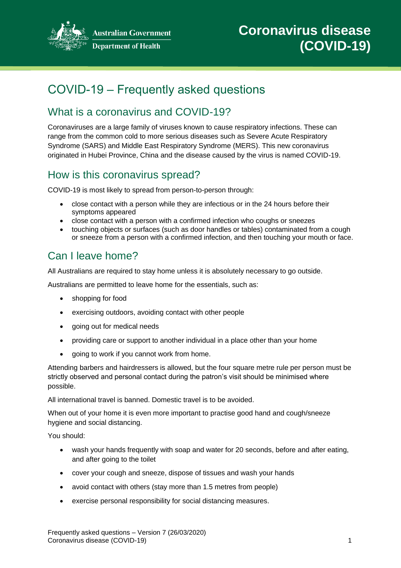

**Australian Government Department of Health** 

# COVID-19 – Frequently asked questions

## What is a coronavirus and COVID-19?

Coronaviruses are a large family of viruses known to cause respiratory infections. These can range from the common cold to more serious diseases such as Severe Acute Respiratory Syndrome (SARS) and Middle East Respiratory Syndrome (MERS). This new coronavirus originated in Hubei Province, China and the disease caused by the virus is named COVID-19.

## How is this coronavirus spread?

COVID-19 is most likely to spread from person-to-person through:

- close contact with a person while they are infectious or in the 24 hours before their symptoms appeared
- close contact with a person with a confirmed infection who coughs or sneezes
- touching objects or surfaces (such as door handles or tables) contaminated from a cough or sneeze from a person with a confirmed infection, and then touching your mouth or face.

### Can I leave home?

All Australians are required to stay home unless it is absolutely necessary to go outside.

Australians are permitted to leave home for the essentials, such as:

- shopping for food
- exercising outdoors, avoiding contact with other people
- going out for medical needs
- providing care or support to another individual in a place other than your home
- going to work if you cannot work from home.

Attending barbers and hairdressers is allowed, but the four square metre rule per person must be strictly observed and personal contact during the patron's visit should be minimised where possible.

All international travel is banned. Domestic travel is to be avoided.

When out of your home it is even more important to practise good hand and cough/sneeze hygiene and social distancing.

You should:

- wash your hands frequently with soap and water for 20 seconds, before and after eating, and after going to the toilet
- cover your cough and sneeze, dispose of tissues and wash your hands
- avoid contact with others (stay more than 1.5 metres from people)
- exercise personal responsibility for social distancing measures.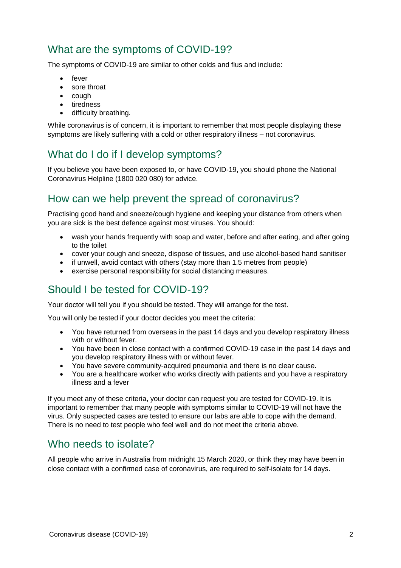## What are the symptoms of COVID-19?

The symptoms of COVID-19 are similar to other colds and flus and include:

- **e** fever
- sore throat
- $\bullet$  cough
- tiredness
- difficulty breathing.

While coronavirus is of concern, it is important to remember that most people displaying these symptoms are likely suffering with a cold or other respiratory illness – not coronavirus.

## What do I do if I develop symptoms?

If you believe you have been exposed to, or have COVID-19, you should phone the National Coronavirus Helpline (1800 020 080) for advice.

## How can we help prevent the spread of coronavirus?

Practising good hand and sneeze/cough hygiene and keeping your distance from others when you are sick is the best defence against most viruses. You should:

- wash your hands frequently with soap and water, before and after eating, and after going to the toilet
- cover your cough and sneeze, dispose of tissues, and use alcohol-based hand sanitiser
- $\bullet$  if unwell, avoid contact with others (stay more than 1.5 metres from people)
- exercise personal responsibility for social distancing measures.

## Should I be tested for COVID-19?

Your doctor will tell you if you should be tested. They will arrange for the test.

You will only be tested if your doctor decides you meet the criteria:

- You have returned from overseas in the past 14 days and you develop respiratory illness with or without fever.
- You have been in close contact with a confirmed COVID-19 case in the past 14 days and you develop respiratory illness with or without fever.
- You have severe community-acquired pneumonia and there is no clear cause.
- You are a healthcare worker who works directly with patients and you have a respiratory illness and a fever

If you meet any of these criteria, your doctor can request you are tested for COVID-19. It is important to remember that many people with symptoms similar to COVID-19 will not have the virus. Only suspected cases are tested to ensure our labs are able to cope with the demand. There is no need to test people who feel well and do not meet the criteria above.

#### Who needs to isolate?

All people who arrive in Australia from midnight 15 March 2020, or think they may have been in close contact with a confirmed case of coronavirus, are required to self-isolate for 14 days.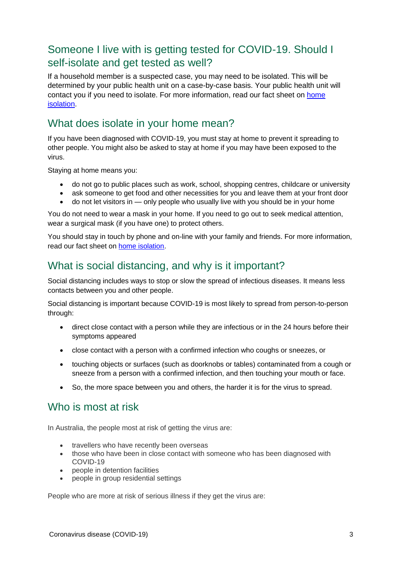## Someone I live with is getting tested for COVID-19. Should I self-isolate and get tested as well?

If a household member is a suspected case, you may need to be isolated. This will be determined by your public health unit on a case-by-case basis. Your public health unit will contact you if you need to isolate. For more information, read our fact sheet on home isolation.

#### What does isolate in your home mean?

If you have been diagnosed with COVID-19, you must stay at home to prevent it spreading to other people. You might also be asked to stay at home if you may have been exposed to the virus.

Staying at home means you:

- do not go to public places such as work, school, shopping centres, childcare or university
- ask someone to get food and other necessities for you and leave them at your front door
- do not let visitors in only people who usually live with you should be in your home

You do not need to wear a mask in your home. If you need to go out to seek medical attention, wear a surgical mask (if you have one) to protect others.

You should stay in touch by phone and on-line with your family and friends. For more information, read our fact sheet on home isolation.

#### What is social distancing, and why is it important?

Social distancing includes ways to stop or slow the spread of infectious diseases. It means less contacts between you and other people.

Social distancing is important because COVID-19 is most likely to spread from person-to-person through:

- direct close contact with a person while they are infectious or in the 24 hours before their symptoms appeared
- close contact with a person with a confirmed infection who coughs or sneezes, or
- touching objects or surfaces (such as doorknobs or tables) contaminated from a cough or sneeze from a person with a confirmed infection, and then touching your mouth or face.
- So, the more space between you and others, the harder it is for the virus to spread.

#### Who is most at risk

In Australia, the people most at risk of getting the virus are:

- travellers who have recently been overseas
- those who have been in close contact with someone who has been diagnosed with COVID-19
- people in detention facilities
- people in group residential settings

People who are more at risk of serious illness if they get the virus are: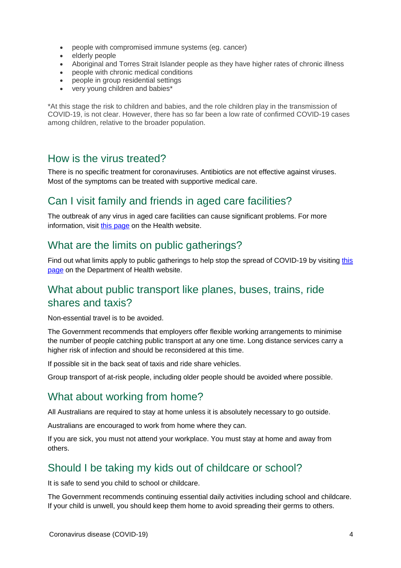- people with compromised immune systems (eg. cancer)
- elderly people
- Aboriginal and Torres Strait Islander people as they have higher rates of chronic illness
- people with chronic medical conditions
- people in group residential settings
- very young children and babies\*

\*At this stage the risk to children and babies, and the role children play in the transmission of COVID-19, is not clear. However, there has so far been a low rate of confirmed COVID-19 cases among children, relative to the broader population.

#### How is the virus treated?

There is no specific treatment for coronaviruses. Antibiotics are not effective against viruses. Most of the symptoms can be treated with supportive medical care.

#### Can I visit family and friends in aged care facilities?

The outbreak of any virus in aged care facilities can cause significant problems. For more information, visit this page on the Health website.

#### What are the limits on public gatherings?

Find out what limits apply to public gatherings to help stop the spread of COVID-19 by visiting this page on the Department of Health website.

#### What about public transport like planes, buses, trains, ride shares and taxis?

Non-essential travel is to be avoided.

The Government recommends that employers offer flexible working arrangements to minimise the number of people catching public transport at any one time. Long distance services carry a higher risk of infection and should be reconsidered at this time.

If possible sit in the back seat of taxis and ride share vehicles.

Group transport of at-risk people, including older people should be avoided where possible.

#### What about working from home?

All Australians are required to stay at home unless it is absolutely necessary to go outside.

Australians are encouraged to work from home where they can.

If you are sick, you must not attend your workplace. You must stay at home and away from others.

### Should I be taking my kids out of childcare or school?

It is safe to send you child to school or childcare.

The Government recommends continuing essential daily activities including school and childcare. If your child is unwell, you should keep them home to avoid spreading their germs to others.